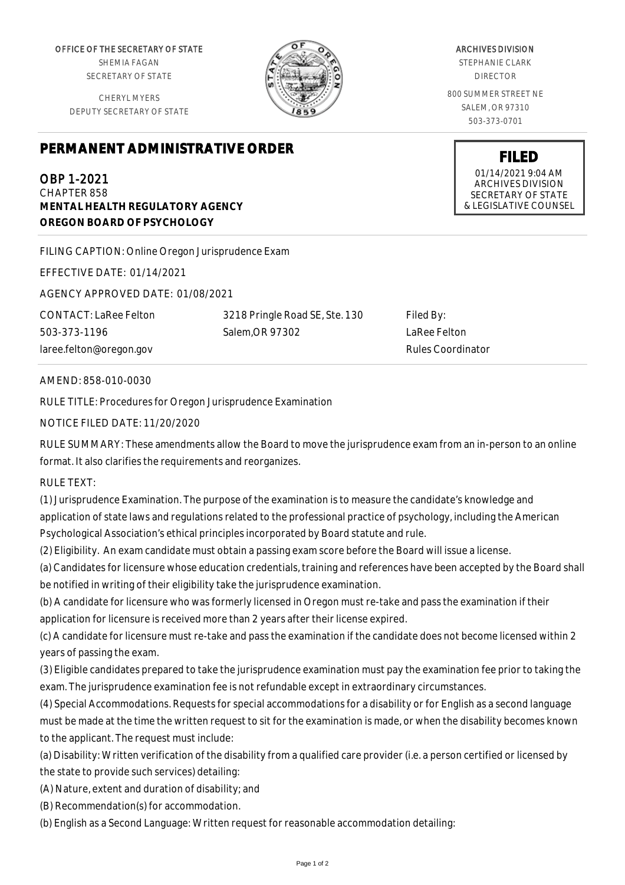OFFICE OF THE SECRETARY OF STATE SHEMIA FAGAN

SECRETARY OF STATE

CHERYL MYERS DEPUTY SECRETARY OF STATE

#### ARCHIVES DIVISION STEPHANIE CLARK

DIRECTOR

800 SUMMER STREET NE SALEM, OR 97310 503-373-0701

> **FILED** 01/14/2021 9:04 AM ARCHIVES DIVISION SECRETARY OF STATE & LEGISLATIVE COUNSEL

**PERMANENT ADMINISTRATIVE ORDER**

# OBP 1-2021

CHAPTER 858 **MENTAL HEALTH REGULATORY AGENCY OREGON BOARD OF PSYCHOLOGY**

FILING CAPTION: Online Oregon Jurisprudence Exam

EFFECTIVE DATE: 01/14/2021

AGENCY APPROVED DATE: 01/08/2021

CONTACT: LaRee Felton 503-373-1196 laree.felton@oregon.gov

3218 Pringle Road SE, Ste. 130 Salem,OR 97302

Filed By: LaRee Felton Rules Coordinator

## AMEND: 858-010-0030

RULE TITLE: Procedures for Oregon Jurisprudence Examination

## NOTICE FILED DATE: 11/20/2020

RULE SUMMARY: These amendments allow the Board to move the jurisprudence exam from an in-person to an online format. It also clarifies the requirements and reorganizes.

#### RULE TEXT:

(1) Jurisprudence Examination. The purpose of the examination is to measure the candidate's knowledge and application of state laws and regulations related to the professional practice of psychology, including the American Psychological Association's ethical principles incorporated by Board statute and rule.

(2) Eligibility. An exam candidate must obtain a passing exam score before the Board will issue a license.

(a) Candidates for licensure whose education credentials, training and references have been accepted by the Board shall be notified in writing of their eligibility take the jurisprudence examination.

(b) A candidate for licensure who was formerly licensed in Oregon must re-take and pass the examination if their application for licensure is received more than 2 years after their license expired.

(c) A candidate for licensure must re-take and pass the examination if the candidate does not become licensed within 2 years of passing the exam.

(3) Eligible candidates prepared to take the jurisprudence examination must pay the examination fee prior to taking the exam. The jurisprudence examination fee is not refundable except in extraordinary circumstances.

(4) Special Accommodations. Requests for special accommodations for a disability or for English as a second language must be made at the time the written request to sit for the examination is made, or when the disability becomes known to the applicant. The request must include:

(a) Disability: Written verification of the disability from a qualified care provider (i.e. a person certified or licensed by the state to provide such services) detailing:

(A) Nature, extent and duration of disability; and

(B) Recommendation(s) for accommodation.

(b) English as a Second Language: Written request for reasonable accommodation detailing: